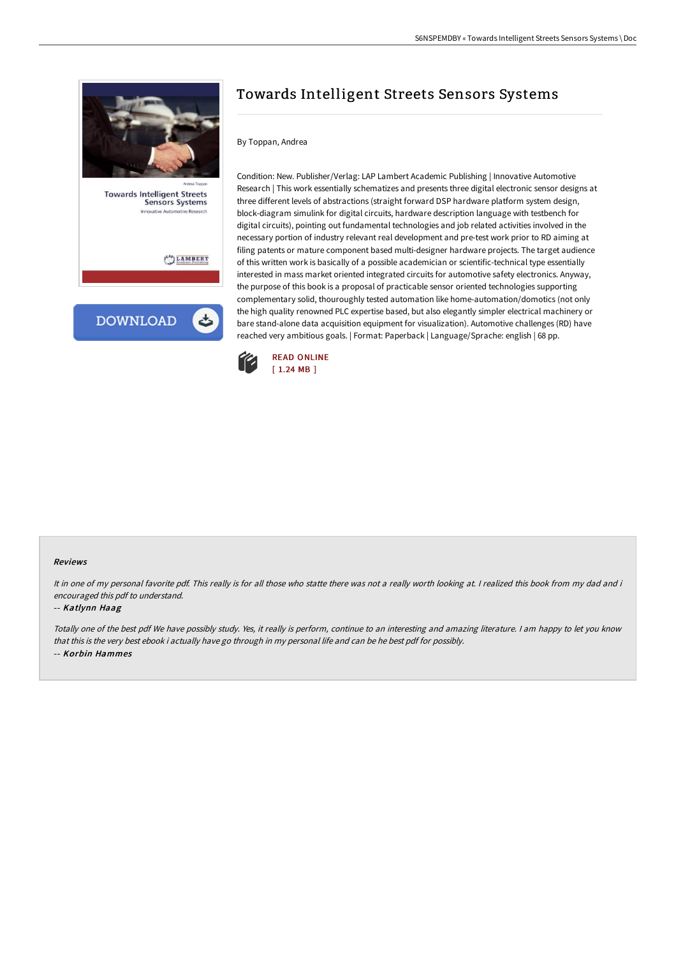



# Towards Intelligent Streets Sensors Systems

#### By Toppan, Andrea

Condition: New. Publisher/Verlag: LAP Lambert Academic Publishing | Innovative Automotive Research | This work essentially schematizes and presents three digital electronic sensor designs at three different levels of abstractions (straight forward DSP hardware platform system design, block-diagram simulink for digital circuits, hardware description language with testbench for digital circuits), pointing out fundamental technologies and job related activities involved in the necessary portion of industry relevant real development and pre-test work prior to RD aiming at filing patents or mature component based multi-designer hardware projects. The target audience of this written work is basically of a possible academician or scientific-technical type essentially interested in mass market oriented integrated circuits for automotive safety electronics. Anyway, the purpose of this book is a proposal of practicable sensor oriented technologies supporting complementary solid, thouroughly tested automation like home-automation/domotics (not only the high quality renowned PLC expertise based, but also elegantly simpler electrical machinery or bare stand-alone data acquisition equipment for visualization). Automotive challenges (RD) have reached very ambitious goals. | Format: Paperback | Language/Sprache: english | 68 pp.



#### Reviews

It in one of my personal favorite pdf. This really is for all those who statte there was not a really worth looking at. I realized this book from my dad and i encouraged this pdf to understand.

#### -- Katlynn Haag

Totally one of the best pdf We have possibly study. Yes, it really is perform, continue to an interesting and amazing literature. <sup>I</sup> am happy to let you know that this is the very best ebook i actually have go through in my personal life and can be he best pdf for possibly. -- Korbin Hammes